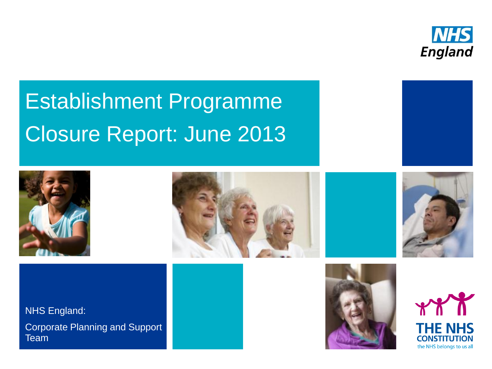

# Establishment Programme Closure Report: June 2013





NHS England:

Corporate Planning and Support Team









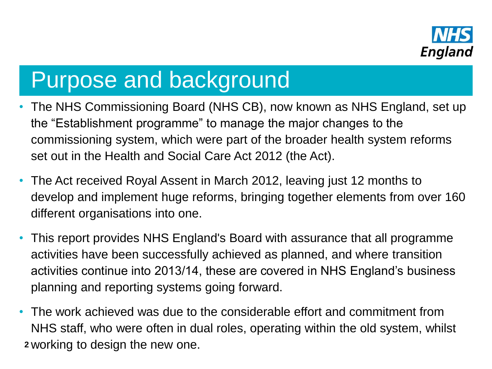

### Purpose and background

- The NHS Commissioning Board (NHS CB), now known as NHS England, set up the "Establishment programme" to manage the major changes to the commissioning system, which were part of the broader health system reforms set out in the Health and Social Care Act 2012 (the Act).
- The Act received Royal Assent in March 2012, leaving just 12 months to develop and implement huge reforms, bringing together elements from over 160 different organisations into one.
- This report provides NHS England's Board with assurance that all programme activities have been successfully achieved as planned, and where transition activities continue into 2013/14, these are covered in NHS England's business planning and reporting systems going forward.
- The work achieved was due to the considerable effort and commitment from NHS staff, who were often in dual roles, operating within the old system, whilst **<sup>2</sup>** working to design the new one.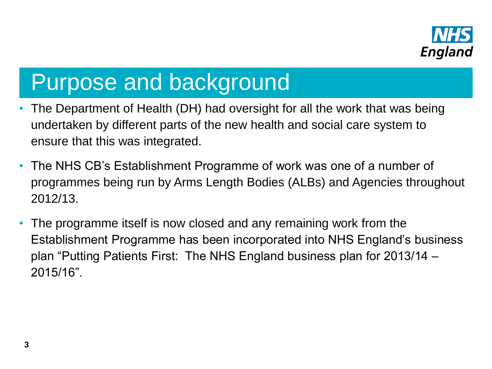

#### Purpose and background

- The Department of Health (DH) had oversight for all the work that was being undertaken by different parts of the new health and social care system to ensure that this was integrated.
- The NHS CB's Establishment Programme of work was one of a number of programmes being run by Arms Length Bodies (ALBs) and Agencies throughout 2012/13.
- The programme itself is now closed and any remaining work from the Establishment Programme has been incorporated into NHS England's business plan "Putting Patients First: The NHS England business plan for 2013/14 – 2015/16".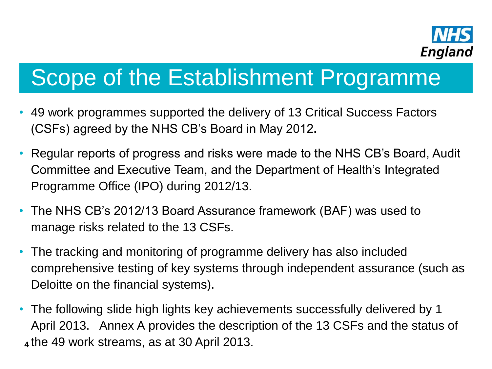

## Scope of the Establishment Programme

- 49 work programmes supported the delivery of 13 Critical Success Factors (CSFs) agreed by the NHS CB's Board in May 2012**.**
- Regular reports of progress and risks were made to the NHS CB's Board, Audit Committee and Executive Team, and the Department of Health's Integrated Programme Office (IPO) during 2012/13.
- The NHS CB's 2012/13 Board Assurance framework (BAF) was used to manage risks related to the 13 CSFs.
- The tracking and monitoring of programme delivery has also included comprehensive testing of key systems through independent assurance (such as Deloitte on the financial systems).
- The following slide high lights key achievements successfully delivered by 1 April 2013. Annex A provides the description of the 13 CSFs and the status of **<sup>4</sup>** the 49 work streams, as at 30 April 2013.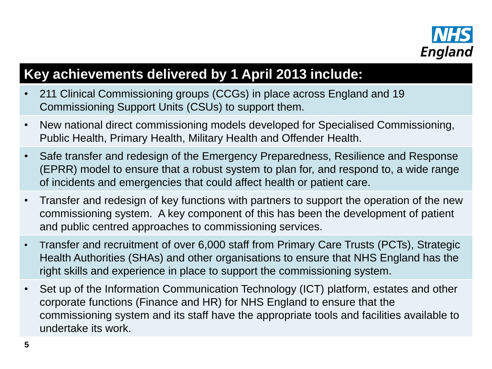

#### **Key achievements delivered by 1 April 2013 include:**

- 211 Clinical Commissioning groups (CCGs) in place across England and 19 Commissioning Support Units (CSUs) to support them.
- New national direct commissioning models developed for Specialised Commissioning, Public Health, Primary Health, Military Health and Offender Health.
- Safe transfer and redesign of the Emergency Preparedness, Resilience and Response (EPRR) model to ensure that a robust system to plan for, and respond to, a wide range of incidents and emergencies that could affect health or patient care.
- Transfer and redesign of key functions with partners to support the operation of the new commissioning system. A key component of this has been the development of patient and public centred approaches to commissioning services.
- Transfer and recruitment of over 6,000 staff from Primary Care Trusts (PCTs), Strategic Health Authorities (SHAs) and other organisations to ensure that NHS England has the right skills and experience in place to support the commissioning system.
- Set up of the Information Communication Technology (ICT) platform, estates and other corporate functions (Finance and HR) for NHS England to ensure that the commissioning system and its staff have the appropriate tools and facilities available to undertake its work.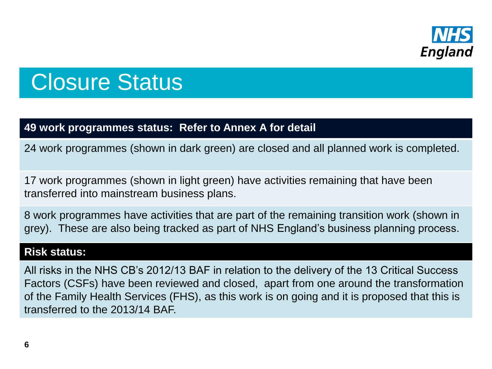

### Closure Status

#### **49 work programmes status: Refer to Annex A for detail**

24 work programmes (shown in dark green) are closed and all planned work is completed.

17 work programmes (shown in light green) have activities remaining that have been transferred into mainstream business plans.

8 work programmes have activities that are part of the remaining transition work (shown in grey). These are also being tracked as part of NHS England's business planning process.

#### **Risk status:**

All risks in the NHS CB's 2012/13 BAF in relation to the delivery of the 13 Critical Success Factors (CSFs) have been reviewed and closed, apart from one around the transformation of the Family Health Services (FHS), as this work is on going and it is proposed that this is transferred to the 2013/14 BAF.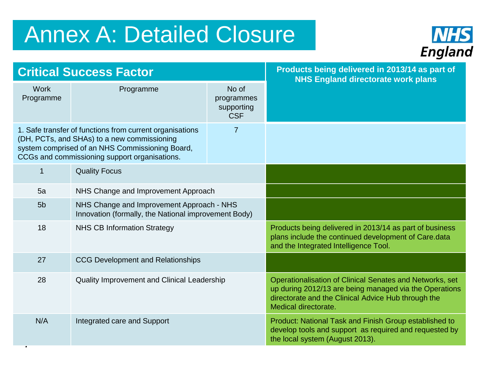## Annex A: Detailed Closure



| <b>Critical Success Factor</b>                                                                                                                                                                                   |                                                                                                   | Products being delivered in 2013/14 as part of<br><b>NHS England directorate work plans</b> |                                                                                                                                                                                                   |
|------------------------------------------------------------------------------------------------------------------------------------------------------------------------------------------------------------------|---------------------------------------------------------------------------------------------------|---------------------------------------------------------------------------------------------|---------------------------------------------------------------------------------------------------------------------------------------------------------------------------------------------------|
| <b>Work</b><br>Programme                                                                                                                                                                                         | Programme                                                                                         | No of<br>programmes<br>supporting<br><b>CSF</b>                                             |                                                                                                                                                                                                   |
| 1. Safe transfer of functions from current organisations<br>7<br>(DH, PCTs, and SHAs) to a new commissioning<br>system comprised of an NHS Commissioning Board,<br>CCGs and commissioning support organisations. |                                                                                                   |                                                                                             |                                                                                                                                                                                                   |
| 1                                                                                                                                                                                                                | <b>Quality Focus</b>                                                                              |                                                                                             |                                                                                                                                                                                                   |
| 5a                                                                                                                                                                                                               | NHS Change and Improvement Approach                                                               |                                                                                             |                                                                                                                                                                                                   |
| 5 <sub>b</sub>                                                                                                                                                                                                   | NHS Change and Improvement Approach - NHS<br>Innovation (formally, the National improvement Body) |                                                                                             |                                                                                                                                                                                                   |
| 18                                                                                                                                                                                                               | <b>NHS CB Information Strategy</b>                                                                |                                                                                             | Products being delivered in 2013/14 as part of business<br>plans include the continued development of Care.data<br>and the Integrated Intelligence Tool.                                          |
| 27                                                                                                                                                                                                               | <b>CCG Development and Relationships</b>                                                          |                                                                                             |                                                                                                                                                                                                   |
| 28                                                                                                                                                                                                               | Quality Improvement and Clinical Leadership                                                       |                                                                                             | Operationalisation of Clinical Senates and Networks, set<br>up during 2012/13 are being managed via the Operations<br>directorate and the Clinical Advice Hub through the<br>Medical directorate. |
| N/A                                                                                                                                                                                                              | Integrated care and Support                                                                       |                                                                                             | Product: National Task and Finish Group established to<br>develop tools and support as required and requested by<br>the local system (August 2013).                                               |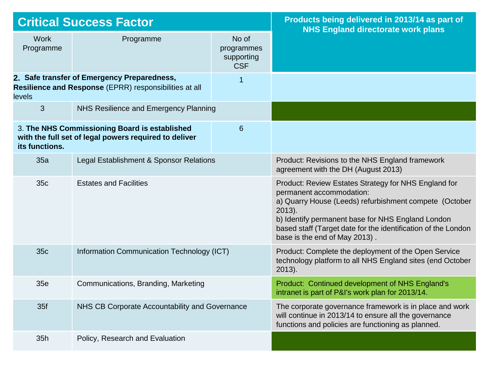| <b>Critical Success Factor</b>                                                                                                    |                                                                                                        | Products being delivered in 2013/14 as part of<br><b>NHS England directorate work plans</b> |                                                                                                                                                                                                                                                                                                                |
|-----------------------------------------------------------------------------------------------------------------------------------|--------------------------------------------------------------------------------------------------------|---------------------------------------------------------------------------------------------|----------------------------------------------------------------------------------------------------------------------------------------------------------------------------------------------------------------------------------------------------------------------------------------------------------------|
| <b>Work</b><br>Programme                                                                                                          | Programme                                                                                              | No of<br>programmes<br>supporting<br><b>CSF</b>                                             |                                                                                                                                                                                                                                                                                                                |
| 2. Safe transfer of Emergency Preparedness,<br>$\overline{1}$<br>Resilience and Response (EPRR) responsibilities at all<br>levels |                                                                                                        |                                                                                             |                                                                                                                                                                                                                                                                                                                |
| 3                                                                                                                                 | NHS Resilience and Emergency Planning                                                                  |                                                                                             |                                                                                                                                                                                                                                                                                                                |
| its functions.                                                                                                                    | 3. The NHS Commissioning Board is established<br>with the full set of legal powers required to deliver | 6                                                                                           |                                                                                                                                                                                                                                                                                                                |
| 35a                                                                                                                               | Legal Establishment & Sponsor Relations                                                                |                                                                                             | Product: Revisions to the NHS England framework<br>agreement with the DH (August 2013)                                                                                                                                                                                                                         |
| 35c                                                                                                                               | <b>Estates and Facilities</b>                                                                          |                                                                                             | Product: Review Estates Strategy for NHS England for<br>permanent accommodation:<br>a) Quarry House (Leeds) refurbishment compete (October<br>$2013$ ).<br>b) Identify permanent base for NHS England London<br>based staff (Target date for the identification of the London<br>base is the end of May 2013). |
| 35c                                                                                                                               | Information Communication Technology (ICT)                                                             |                                                                                             | Product: Complete the deployment of the Open Service<br>technology platform to all NHS England sites (end October<br>$2013$ ).                                                                                                                                                                                 |
| 35e                                                                                                                               | Communications, Branding, Marketing                                                                    |                                                                                             | Product: Continued development of NHS England's<br>intranet is part of P&I's work plan for 2013/14.                                                                                                                                                                                                            |
| 35f                                                                                                                               | NHS CB Corporate Accountability and Governance                                                         |                                                                                             | The corporate governance framework is in place and work<br>will continue in 2013/14 to ensure all the governance<br>functions and policies are functioning as planned.                                                                                                                                         |
| 35h                                                                                                                               | Policy, Research and Evaluation                                                                        |                                                                                             |                                                                                                                                                                                                                                                                                                                |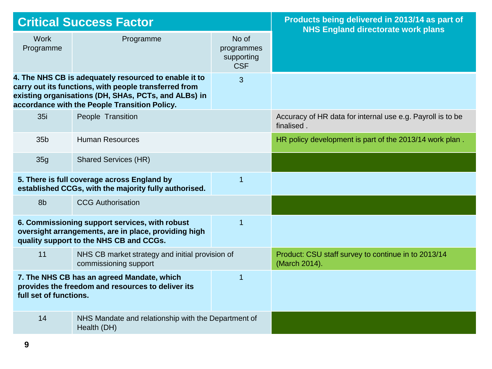| <b>Critical Success Factor</b>                                                                                                                                      |                                                                                                                                                                                                                         | Products being delivered in 2013/14 as part of<br><b>NHS England directorate work plans</b> |                                                                          |
|---------------------------------------------------------------------------------------------------------------------------------------------------------------------|-------------------------------------------------------------------------------------------------------------------------------------------------------------------------------------------------------------------------|---------------------------------------------------------------------------------------------|--------------------------------------------------------------------------|
| <b>Work</b><br>Programme                                                                                                                                            | Programme                                                                                                                                                                                                               | No of<br>programmes<br>supporting<br><b>CSF</b>                                             |                                                                          |
|                                                                                                                                                                     | 4. The NHS CB is adequately resourced to enable it to<br>carry out its functions, with people transferred from<br>existing organisations (DH, SHAs, PCTs, and ALBs) in<br>accordance with the People Transition Policy. | 3                                                                                           |                                                                          |
| 35i                                                                                                                                                                 | People Transition                                                                                                                                                                                                       |                                                                                             | Accuracy of HR data for internal use e.g. Payroll is to be<br>finalised. |
| 35 <sub>b</sub>                                                                                                                                                     | <b>Human Resources</b>                                                                                                                                                                                                  |                                                                                             | HR policy development is part of the 2013/14 work plan.                  |
| 35g                                                                                                                                                                 | <b>Shared Services (HR)</b>                                                                                                                                                                                             |                                                                                             |                                                                          |
| 5. There is full coverage across England by<br>$\overline{1}$<br>established CCGs, with the majority fully authorised.                                              |                                                                                                                                                                                                                         |                                                                                             |                                                                          |
| 8b                                                                                                                                                                  | <b>CCG Authorisation</b>                                                                                                                                                                                                |                                                                                             |                                                                          |
| $\overline{1}$<br>6. Commissioning support services, with robust<br>oversight arrangements, are in place, providing high<br>quality support to the NHS CB and CCGs. |                                                                                                                                                                                                                         |                                                                                             |                                                                          |
| 11                                                                                                                                                                  | NHS CB market strategy and initial provision of<br>commissioning support                                                                                                                                                |                                                                                             | Product: CSU staff survey to continue in to 2013/14<br>(March 2014).     |
| 7. The NHS CB has an agreed Mandate, which<br>1<br>provides the freedom and resources to deliver its<br>full set of functions.                                      |                                                                                                                                                                                                                         |                                                                                             |                                                                          |
| 14                                                                                                                                                                  | NHS Mandate and relationship with the Department of<br>Health (DH)                                                                                                                                                      |                                                                                             |                                                                          |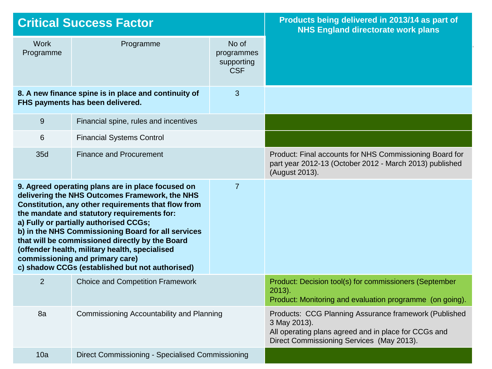| <b>Critical Success Factor</b>                                                                |                                                                                                                                                                                                                                                                                                                                                                                                                                                                                                      | Products being delivered in 2013/14 as part of<br><b>NHS England directorate work plans</b>                                                                                |                                                                                                                                      |
|-----------------------------------------------------------------------------------------------|------------------------------------------------------------------------------------------------------------------------------------------------------------------------------------------------------------------------------------------------------------------------------------------------------------------------------------------------------------------------------------------------------------------------------------------------------------------------------------------------------|----------------------------------------------------------------------------------------------------------------------------------------------------------------------------|--------------------------------------------------------------------------------------------------------------------------------------|
| <b>Work</b><br>Programme                                                                      | Programme                                                                                                                                                                                                                                                                                                                                                                                                                                                                                            | No of<br>programmes<br>supporting<br><b>CSF</b>                                                                                                                            |                                                                                                                                      |
| 3<br>8. A new finance spine is in place and continuity of<br>FHS payments has been delivered. |                                                                                                                                                                                                                                                                                                                                                                                                                                                                                                      |                                                                                                                                                                            |                                                                                                                                      |
| 9                                                                                             | Financial spine, rules and incentives                                                                                                                                                                                                                                                                                                                                                                                                                                                                |                                                                                                                                                                            |                                                                                                                                      |
| 6                                                                                             | <b>Financial Systems Control</b>                                                                                                                                                                                                                                                                                                                                                                                                                                                                     |                                                                                                                                                                            |                                                                                                                                      |
| 35d                                                                                           | <b>Finance and Procurement</b>                                                                                                                                                                                                                                                                                                                                                                                                                                                                       |                                                                                                                                                                            | Product: Final accounts for NHS Commissioning Board for<br>part year 2012-13 (October 2012 - March 2013) published<br>(August 2013). |
|                                                                                               | 9. Agreed operating plans are in place focused on<br>delivering the NHS Outcomes Framework, the NHS<br>Constitution, any other requirements that flow from<br>the mandate and statutory requirements for:<br>a) Fully or partially authorised CCGs;<br>b) in the NHS Commissioning Board for all services<br>that will be commissioned directly by the Board<br>(offender health, military health, specialised<br>commissioning and primary care)<br>c) shadow CCGs (established but not authorised) | $\overline{7}$                                                                                                                                                             |                                                                                                                                      |
| 2                                                                                             | <b>Choice and Competition Framework</b>                                                                                                                                                                                                                                                                                                                                                                                                                                                              |                                                                                                                                                                            | Product: Decision tool(s) for commissioners (September<br>$2013$ ).<br>Product: Monitoring and evaluation programme (on going).      |
| 8a<br>Commissioning Accountability and Planning                                               |                                                                                                                                                                                                                                                                                                                                                                                                                                                                                                      | Products: CCG Planning Assurance framework (Published<br>3 May 2013).<br>All operating plans agreed and in place for CCGs and<br>Direct Commissioning Services (May 2013). |                                                                                                                                      |
| 10a                                                                                           | Direct Commissioning - Specialised Commissioning                                                                                                                                                                                                                                                                                                                                                                                                                                                     |                                                                                                                                                                            |                                                                                                                                      |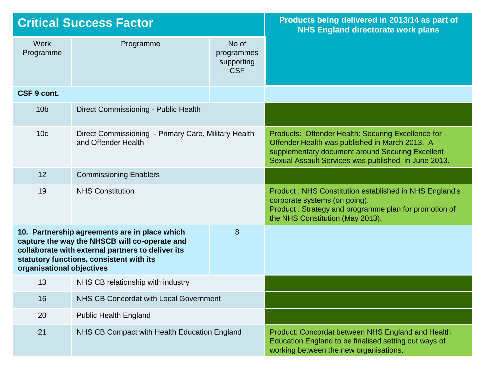| <b>Critical Success Factor</b>                                                                                                                                                                                                    |                                                                             | Products being delivered in 2013/14 as part of<br><b>NHS England directorate work plans</b> |                                                                                                                                                                                                                 |
|-----------------------------------------------------------------------------------------------------------------------------------------------------------------------------------------------------------------------------------|-----------------------------------------------------------------------------|---------------------------------------------------------------------------------------------|-----------------------------------------------------------------------------------------------------------------------------------------------------------------------------------------------------------------|
| <b>Work</b><br>Programme                                                                                                                                                                                                          | Programme                                                                   | No of<br>programmes<br>supporting<br><b>CSF</b>                                             |                                                                                                                                                                                                                 |
| CSF 9 cont.                                                                                                                                                                                                                       |                                                                             |                                                                                             |                                                                                                                                                                                                                 |
| 10 <sub>b</sub>                                                                                                                                                                                                                   | Direct Commissioning - Public Health                                        |                                                                                             |                                                                                                                                                                                                                 |
| 10 <sub>c</sub>                                                                                                                                                                                                                   | Direct Commissioning - Primary Care, Military Health<br>and Offender Health |                                                                                             | Products: Offender Health: Securing Excellence for<br>Offender Health was published in March 2013. A<br>supplementary document around Securing Excellent<br>Sexual Assault Services was published in June 2013. |
| 12                                                                                                                                                                                                                                | <b>Commissioning Enablers</b>                                               |                                                                                             |                                                                                                                                                                                                                 |
| 19                                                                                                                                                                                                                                | <b>NHS Constitution</b>                                                     |                                                                                             | Product: NHS Constitution established in NHS England's<br>corporate systems (on going).<br>Product: Strategy and programme plan for promotion of<br>the NHS Constitution (May 2013).                            |
| 10. Partnership agreements are in place which<br>8<br>capture the way the NHSCB will co-operate and<br>collaborate with external partners to deliver its<br>statutory functions, consistent with its<br>organisational objectives |                                                                             |                                                                                             |                                                                                                                                                                                                                 |
| 13                                                                                                                                                                                                                                | NHS CB relationship with industry                                           |                                                                                             |                                                                                                                                                                                                                 |
| 16                                                                                                                                                                                                                                | NHS CB Concordat with Local Government                                      |                                                                                             |                                                                                                                                                                                                                 |
| 20                                                                                                                                                                                                                                | <b>Public Health England</b>                                                |                                                                                             |                                                                                                                                                                                                                 |
| 21                                                                                                                                                                                                                                | NHS CB Compact with Health Education England                                |                                                                                             | Product: Concordat between NHS England and Health<br>Education England to be finalised setting out ways of<br>working between the new organisations.                                                            |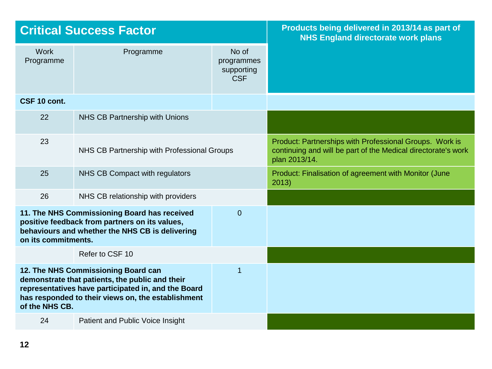| <b>Critical Success Factor</b> |                                                                                                                                                                                                     | Products being delivered in 2013/14 as part of<br><b>NHS England directorate work plans</b> |                                                                                                                                           |
|--------------------------------|-----------------------------------------------------------------------------------------------------------------------------------------------------------------------------------------------------|---------------------------------------------------------------------------------------------|-------------------------------------------------------------------------------------------------------------------------------------------|
| <b>Work</b><br>Programme       | Programme                                                                                                                                                                                           | No of<br>programmes<br>supporting<br><b>CSF</b>                                             |                                                                                                                                           |
| CSF 10 cont.                   |                                                                                                                                                                                                     |                                                                                             |                                                                                                                                           |
| 22                             | NHS CB Partnership with Unions                                                                                                                                                                      |                                                                                             |                                                                                                                                           |
| 23                             | NHS CB Partnership with Professional Groups                                                                                                                                                         |                                                                                             | Product: Partnerships with Professional Groups. Work is<br>continuing and will be part of the Medical directorate's work<br>plan 2013/14. |
| 25                             | NHS CB Compact with regulators                                                                                                                                                                      |                                                                                             | Product: Finalisation of agreement with Monitor (June<br>2013)                                                                            |
| 26                             | NHS CB relationship with providers                                                                                                                                                                  |                                                                                             |                                                                                                                                           |
| on its commitments.            | 11. The NHS Commissioning Board has received<br>positive feedback from partners on its values,<br>behaviours and whether the NHS CB is delivering                                                   | $\overline{0}$                                                                              |                                                                                                                                           |
|                                | Refer to CSF 10                                                                                                                                                                                     |                                                                                             |                                                                                                                                           |
| of the NHS CB.                 | 12. The NHS Commissioning Board can<br>demonstrate that patients, the public and their<br>representatives have participated in, and the Board<br>has responded to their views on, the establishment | 1                                                                                           |                                                                                                                                           |
| 24                             | Patient and Public Voice Insight                                                                                                                                                                    |                                                                                             |                                                                                                                                           |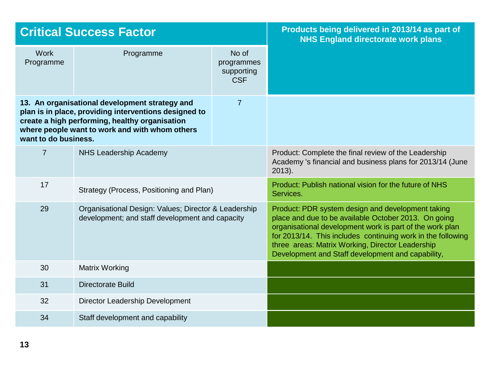| <b>Critical Success Factor</b> |                                                                                                                                                                                                             | Products being delivered in 2013/14 as part of<br><b>NHS England directorate work plans</b> |                                                                                                                                                                                                                                                                                                                                               |
|--------------------------------|-------------------------------------------------------------------------------------------------------------------------------------------------------------------------------------------------------------|---------------------------------------------------------------------------------------------|-----------------------------------------------------------------------------------------------------------------------------------------------------------------------------------------------------------------------------------------------------------------------------------------------------------------------------------------------|
| <b>Work</b><br>Programme       | Programme                                                                                                                                                                                                   | No of<br>programmes<br>supporting<br><b>CSF</b>                                             |                                                                                                                                                                                                                                                                                                                                               |
| want to do business.           | 13. An organisational development strategy and<br>plan is in place, providing interventions designed to<br>create a high performing, healthy organisation<br>where people want to work and with whom others | $\overline{7}$                                                                              |                                                                                                                                                                                                                                                                                                                                               |
| $\overline{7}$                 | <b>NHS Leadership Academy</b>                                                                                                                                                                               |                                                                                             | Product: Complete the final review of the Leadership<br>Academy 's financial and business plans for 2013/14 (June<br>$2013$ ).                                                                                                                                                                                                                |
| 17                             | Strategy (Process, Positioning and Plan)                                                                                                                                                                    |                                                                                             | Product: Publish national vision for the future of NHS<br>Services.                                                                                                                                                                                                                                                                           |
| 29                             | Organisational Design: Values; Director & Leadership<br>development; and staff development and capacity                                                                                                     |                                                                                             | Product: PDR system design and development taking<br>place and due to be available October 2013. On going<br>organisational development work is part of the work plan<br>for 2013/14. This includes continuing work in the following<br>three areas: Matrix Working, Director Leadership<br>Development and Staff development and capability, |
| 30                             | <b>Matrix Working</b>                                                                                                                                                                                       |                                                                                             |                                                                                                                                                                                                                                                                                                                                               |
| 31                             | Directorate Build                                                                                                                                                                                           |                                                                                             |                                                                                                                                                                                                                                                                                                                                               |
| 32                             | Director Leadership Development                                                                                                                                                                             |                                                                                             |                                                                                                                                                                                                                                                                                                                                               |
| 34                             | Staff development and capability                                                                                                                                                                            |                                                                                             |                                                                                                                                                                                                                                                                                                                                               |